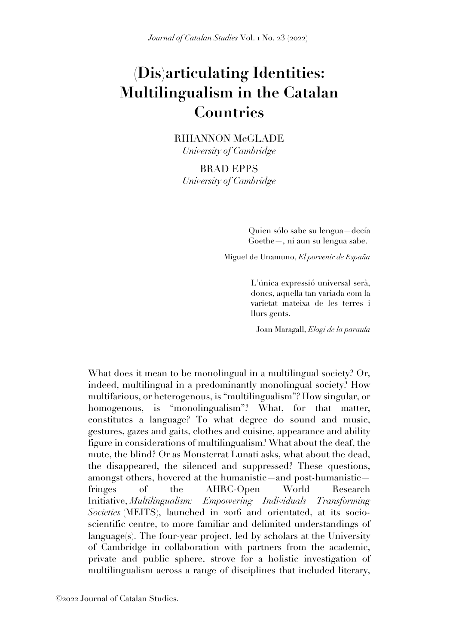## **(Dis)articulating Identities: Multilingualism in the Catalan Countries**

RHIANNON McGLADE *University of Cambridge*

BRAD EPPS *University of Cambridge*

> Quien sólo sabe su lengua—decía Goethe—, ni aun su lengua sabe.

Miguel de Unamuno, *El porvenir de España*

L'única expressió universal serà, doncs, aquella tan variada com la varietat mateixa de les terres i llurs gents.

Joan Maragall, *Elogi de la paraula*

What does it mean to be monolingual in a multilingual society? Or, indeed, multilingual in a predominantly monolingual society? How multifarious, or heterogenous, is "multilingualism"? How singular, or homogenous, is "monolingualism"? What, for that matter, constitutes a language? To what degree do sound and music, gestures, gazes and gaits, clothes and cuisine, appearance and ability figure in considerations of multilingualism? What about the deaf, the mute, the blind? Or as Monsterrat Lunati asks, what about the dead, the disappeared, the silenced and suppressed? These questions, amongst others, hovered at the humanistic—and post-humanistic fringes of the AHRC-Open World Research Initiative, *Multilingualism: Empowering Individuals Transforming Societies* (MEITS), launched in 2016 and orientated, at its socioscientific centre, to more familiar and delimited understandings of language(s). The four-year project, led by scholars at the University of Cambridge in collaboration with partners from the academic, private and public sphere, strove for a holistic investigation of multilingualism across a range of disciplines that included literary,

©2022 Journal of Catalan Studies.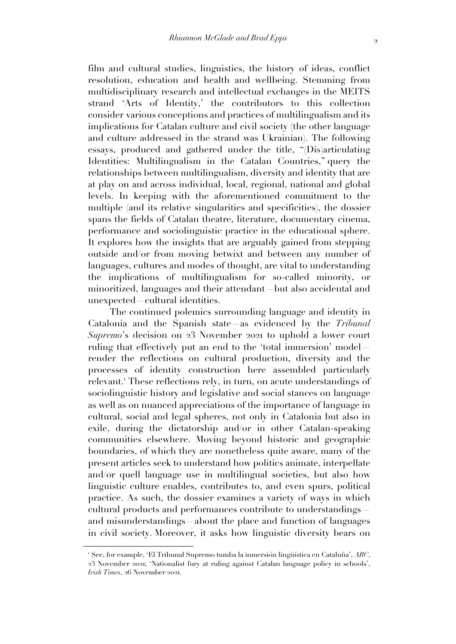film and cultural studies, linguistics, the history of ideas, conflict resolution, education and health and wellbeing. Stemming from multidisciplinary research and intellectual exchanges in the MEITS strand 'Arts of Identity,' the contributors to this collection consider various conceptions and practices of multilingualism and its implications for Catalan culture and civil society (the other language and culture addressed in the strand was Ukrainian). The following essays, produced and gathered under the title, "(Dis)articulating Identities: Multilingualism in the Catalan Countries," query the relationships between multilingualism, diversity and identity that are at play on and across individual, local, regional, national and global levels. In keeping with the aforementioned commitment to the multiple (and its relative singularities and specificities), the dossier spans the fields of Catalan theatre, literature, documentary cinema, performance and sociolinguistic practice in the educational sphere. It explores how the insights that are arguably gained from stepping outside and/or from moving betwixt and between any number of languages, cultures and modes of thought, are vital to understanding the implications of multilingualism for so-called minority, or minoritized, languages and their attendant—but also accidental and unexpected—cultural identities.

The continued polemics surrounding language and identity in Catalonia and the Spanish state—as evidenced by the *Tribunal Supremo*'s decision on 23 November 2021 to uphold a lower court ruling that effectively put an end to the 'total immersion' model render the reflections on cultural production, diversity and the processes of identity construction here assembled particularly relevant. <sup>1</sup> These reflections rely, in turn, on acute understandings of sociolinguistic history and legislative and social stances on language as well as on nuanced appreciations of the importance of language in cultural, social and legal spheres, not only in Catalonia but also in exile, during the dictatorship and/or in other Catalan-speaking communities elsewhere. Moving beyond historic and geographic boundaries, of which they are nonetheless quite aware, many of the present articles seek to understand how politics animate, interpellate and/or quell language use in multilingual societies, but also how linguistic culture enables, contributes to, and even spurs, political practice. As such, the dossier examines a variety of ways in which cultural products and performances contribute to understandings and misunderstandings—about the place and function of languages in civil society. Moreover, it asks how linguistic diversity bears on

<sup>1</sup> See, for example, 'El Tribunal Supremo tumba la inmersión lingüística en Cataluña', *ABC*, 23 November 2021; 'Nationalist fury at ruling against Catalan language policy in schools', *Irish Times*, 26 November 2021.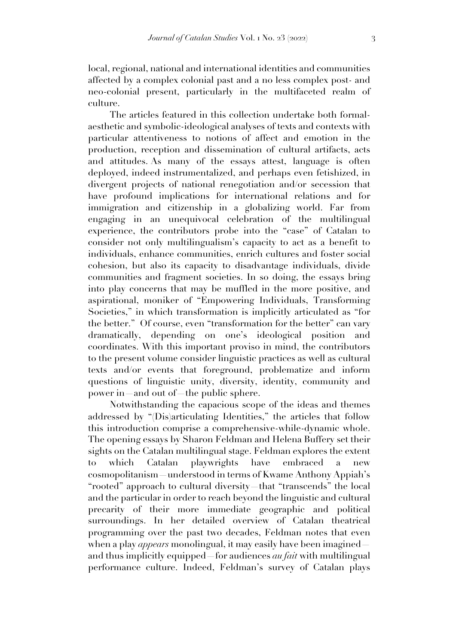local, regional, national and international identities and communities affected by a complex colonial past and a no less complex post- and neo-colonial present, particularly in the multifaceted realm of culture.

The articles featured in this collection undertake both formalaesthetic and symbolic-ideological analyses of texts and contexts with particular attentiveness to notions of affect and emotion in the production, reception and dissemination of cultural artifacts, acts and attitudes. As many of the essays attest, language is often deployed, indeed instrumentalized, and perhaps even fetishized, in divergent projects of national renegotiation and/or secession that have profound implications for international relations and for immigration and citizenship in a globalizing world. Far from engaging in an unequivocal celebration of the multilingual experience, the contributors probe into the "case" of Catalan to consider not only multilingualism's capacity to act as a benefit to individuals, enhance communities, enrich cultures and foster social cohesion, but also its capacity to disadvantage individuals, divide communities and fragment societies. In so doing, the essays bring into play concerns that may be muffled in the more positive, and aspirational, moniker of "Empowering Individuals, Transforming Societies," in which transformation is implicitly articulated as "for the better." Of course, even "transformation for the better" can vary dramatically, depending on one's ideological position and coordinates. With this important proviso in mind, the contributors to the present volume consider linguistic practices as well as cultural texts and/or events that foreground, problematize and inform questions of linguistic unity, diversity, identity, community and power in—and out of —the public sphere.

Notwithstanding the capacious scope of the ideas and themes addressed by "(Dis)articulating Identities," the articles that follow this introduction comprise a comprehensive-while-dynamic whole. The opening essays by Sharon Feldman and Helena Buffery set their sights on the Catalan multilingual stage. Feldman explores the extent to which Catalan playwrights have embraced a new cosmopolitanism—understood in terms of Kwame Anthony Appiah's "rooted" approach to cultural diversity—that "transcends" the local and the particular in order to reach beyond the linguistic and cultural precarity of their more immediate geographic and political surroundings. In her detailed overview of Catalan theatrical programming over the past two decades, Feldman notes that even when a play *appears* monolingual, it may easily have been imagined and thus implicitly equipped—for audiences *au fait* with multilingual performance culture. Indeed, Feldman's survey of Catalan plays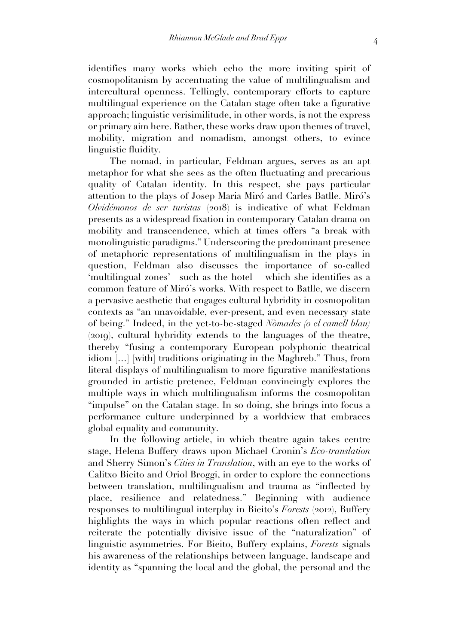identifies many works which echo the more inviting spirit of cosmopolitanism by accentuating the value of multilingualism and intercultural openness. Tellingly, contemporary efforts to capture multilingual experience on the Catalan stage often take a figurative approach; linguistic verisimilitude, in other words, is not the express or primary aim here. Rather, these works draw upon themes of travel, mobility, migration and nomadism, amongst others, to evince linguistic fluidity.

The nomad, in particular, Feldman argues, serves as an apt metaphor for what she sees as the often fluctuating and precarious quality of Catalan identity. In this respect, she pays particular attention to the plays of Josep Maria Miró and Carles Batlle. Miró's *Olvidémonos de ser turistas* (2018) is indicative of what Feldman presents as a widespread fixation in contemporary Catalan drama on mobility and transcendence, which at times offers "a break with monolinguistic paradigms." Underscoring the predominant presence of metaphoric representations of multilingualism in the plays in question, Feldman also discusses the importance of so-called 'multilingual zones' such as the hotel —which she identifies as a common feature of Miró's works. With respect to Batlle, we discern a pervasive aesthetic that engages cultural hybridity in cosmopolitan contexts as "an unavoidable, ever-present, and even necessary state of being." Indeed, in the yet-to-be-staged *Nòmades (o el camell blau)* (2019), cultural hybridity extends to the languages of the theatre, thereby "fusing a contemporary European polyphonic theatrical idiom […] [with] traditions originating in the Maghreb." Thus, from literal displays of multilingualism to more figurative manifestations grounded in artistic pretence, Feldman convincingly explores the multiple ways in which multilingualism informs the cosmopolitan "impulse" on the Catalan stage. In so doing, she brings into focus a performance culture underpinned by a worldview that embraces global equality and community.

In the following article, in which theatre again takes centre stage, Helena Buffery draws upon Michael Cronin's *Eco-translation* and Sherry Simon's *Cities in Translation*, with an eye to the works of Calitxo Bieito and Oriol Broggi, in order to explore the connections between translation, multilingualism and trauma as "inflected by place, resilience and relatedness." Beginning with audience responses to multilingual interplay in Bieito's *Forests* (2012), Buffery highlights the ways in which popular reactions often reflect and reiterate the potentially divisive issue of the "naturalization" of linguistic asymmetries. For Bieito, Buffery explains, *Forests* signals his awareness of the relationships between language, landscape and identity as "spanning the local and the global, the personal and the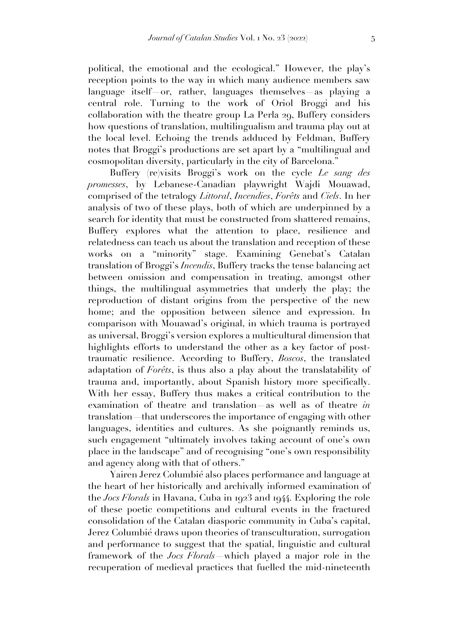political, the emotional and the ecological." However, the play's reception points to the way in which many audience members saw language itself or, rather, languages themselves as playing a central role. Turning to the work of Oriol Broggi and his collaboration with the theatre group La Perla 29, Buffery considers how questions of translation, multilingualism and trauma play out at the local level. Echoing the trends adduced by Feldman, Buffery notes that Broggi's productions are set apart by a "multilingual and cosmopolitan diversity, particularly in the city of Barcelona."

Buffery (re)visits Broggi's work on the cycle *Le sang des promesses*, by Lebanese-Canadian playwright Wajdi Mouawad, comprised of the tetralogy *Littoral*, *Incendies*, *Forêts* and *Ciels*. In her analysis of two of these plays, both of which are underpinned by a search for identity that must be constructed from shattered remains, Buffery explores what the attention to place, resilience and relatedness can teach us about the translation and reception of these works on a "minority" stage. Examining Genebat's Catalan translation of Broggi's *Incendis*, Buffery tracks the tense balancing act between omission and compensation in treating, amongst other things, the multilingual asymmetries that underly the play; the reproduction of distant origins from the perspective of the new home; and the opposition between silence and expression. In comparison with Mouawad's original, in which trauma is portrayed as universal, Broggi's version explores a multicultural dimension that highlights efforts to understand the other as a key factor of posttraumatic resilience. According to Buffery, *Boscos*, the translated adaptation of *Forêts*, is thus also a play about the translatability of trauma and, importantly, about Spanish history more specifically. With her essay, Buffery thus makes a critical contribution to the examination of theatre and translation—as well as of theatre *in* translation—that underscores the importance of engaging with other languages, identities and cultures. As she poignantly reminds us, such engagement "ultimately involves taking account of one's own place in the landscape" and of recognising "one's own responsibility and agency along with that of others."

Yairen Jerez Columbié also places performance and language at the heart of her historically and archivally informed examination of the *Jocs Florals* in Havana, Cuba in 1923 and 1944. Exploring the role of these poetic competitions and cultural events in the fractured consolidation of the Catalan diasporic community in Cuba's capital, Jerez Columbié draws upon theories of transculturation, surrogation and performance to suggest that the spatial, linguistic and cultural framework of the *Jocs Florals*—which played a major role in the recuperation of medieval practices that fuelled the mid-nineteenth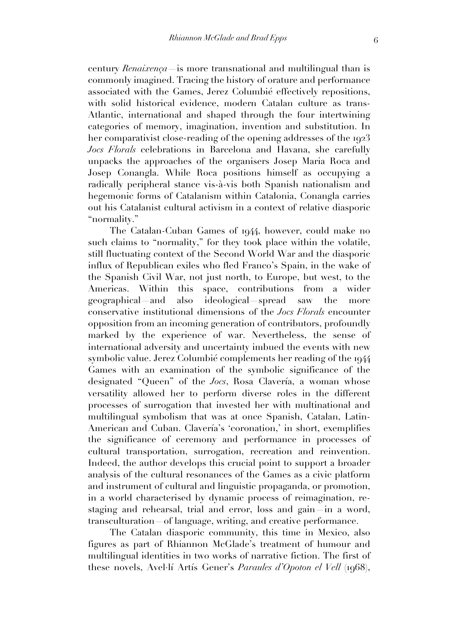century *Renaixença*—is more transnational and multilingual than is commonly imagined. Tracing the history of orature and performance associated with the Games, Jerez Columbié effectively repositions, with solid historical evidence, modern Catalan culture as trans-Atlantic, international and shaped through the four intertwining categories of memory, imagination, invention and substitution. In her comparativist close-reading of the opening addresses of the 1923 *Jocs Florals* celebrations in Barcelona and Havana, she carefully unpacks the approaches of the organisers Josep Maria Roca and Josep Conangla. While Roca positions himself as occupying a radically peripheral stance vis-à-vis both Spanish nationalism and hegemonic forms of Catalanism within Catalonia, Conangla carries out his Catalanist cultural activism in a context of relative diasporic "normality."

The Catalan-Cuban Games of 1944, however, could make no such claims to "normality," for they took place within the volatile, still fluctuating context of the Second World War and the diasporic influx of Republican exiles who fled Franco's Spain, in the wake of the Spanish Civil War, not just north, to Europe, but west, to the Americas. Within this space, contributions from a wider geographical—and also ideological—spread saw the more conservative institutional dimensions of the *Jocs Florals* encounter opposition from an incoming generation of contributors, profoundly marked by the experience of war. Nevertheless, the sense of international adversity and uncertainty imbued the events with new symbolic value. Jerez Columbié complements her reading of the 1944 Games with an examination of the symbolic significance of the designated "Queen" of the *Jocs*, Rosa Clavería, a woman whose versatility allowed her to perform diverse roles in the different processes of surrogation that invested her with multinational and multilingual symbolism that was at once Spanish, Catalan, Latin-American and Cuban. Clavería's 'coronation,' in short, exemplifies the significance of ceremony and performance in processes of cultural transportation, surrogation, recreation and reinvention. Indeed, the author develops this crucial point to support a broader analysis of the cultural resonances of the Games as a civic platform and instrument of cultural and linguistic propaganda, or promotion, in a world characterised by dynamic process of reimagination, restaging and rehearsal, trial and error, loss and gain—in a word, transculturation—of language, writing, and creative performance.

The Catalan diasporic community, this time in Mexico, also figures as part of Rhiannon McGlade's treatment of humour and multilingual identities in two works of narrative fiction. The first of these novels, Avel·lí Artís Gener's *Paraules d'Opoton el Vell* (1968),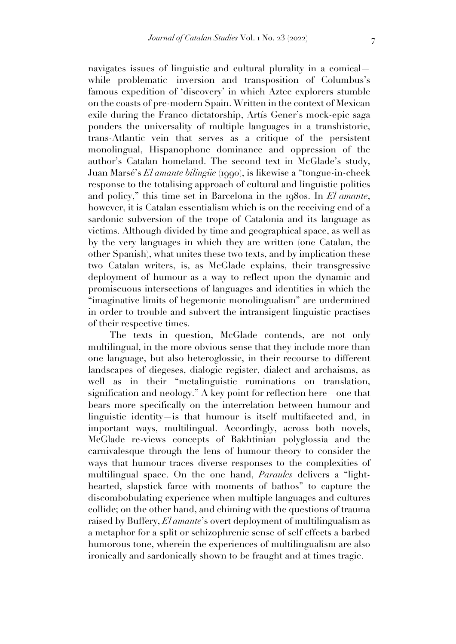navigates issues of linguistic and cultural plurality in a comical while problematic inversion and transposition of Columbus's famous expedition of 'discovery' in which Aztec explorers stumble on the coasts of pre-modern Spain. Written in the context of Mexican exile during the Franco dictatorship, Artís Gener's mock-epic saga ponders the universality of multiple languages in a transhistoric, trans-Atlantic vein that serves as a critique of the persistent monolingual, Hispanophone dominance and oppression of the author's Catalan homeland. The second text in McGlade's study, Juan Marsé's *El amante bilingüe* (1990), is likewise a "tongue-in-cheek response to the totalising approach of cultural and linguistic politics and policy," this time set in Barcelona in the 1980s. In *El amante*, however, it is Catalan essentialism which is on the receiving end of a sardonic subversion of the trope of Catalonia and its language as victims. Although divided by time and geographical space, as well as by the very languages in which they are written (one Catalan, the other Spanish), what unites these two texts, and by implication these two Catalan writers, is, as McGlade explains, their transgressive deployment of humour as a way to reflect upon the dynamic and promiscuous intersections of languages and identities in which the "imaginative limits of hegemonic monolingualism" are undermined in order to trouble and subvert the intransigent linguistic practises of their respective times.

The texts in question, McGlade contends, are not only multilingual, in the more obvious sense that they include more than one language, but also heteroglossic, in their recourse to different landscapes of diegeses, dialogic register, dialect and archaisms, as well as in their "metalinguistic ruminations on translation, signification and neology." A key point for reflection here—one that bears more specifically on the interrelation between humour and linguistic identity is that humour is itself multifaceted and, in important ways, multilingual. Accordingly, across both novels, McGlade re-views concepts of Bakhtinian polyglossia and the carnivalesque through the lens of humour theory to consider the ways that humour traces diverse responses to the complexities of multilingual space. On the one hand, *Paraules* delivers a "lighthearted, slapstick farce with moments of bathos" to capture the discombobulating experience when multiple languages and cultures collide; on the other hand, and chiming with the questions of trauma raised by Buffery, *El amante*'s overt deployment of multilingualism as a metaphor for a split or schizophrenic sense of self effects a barbed humorous tone, wherein the experiences of multilingualism are also ironically and sardonically shown to be fraught and at times tragic.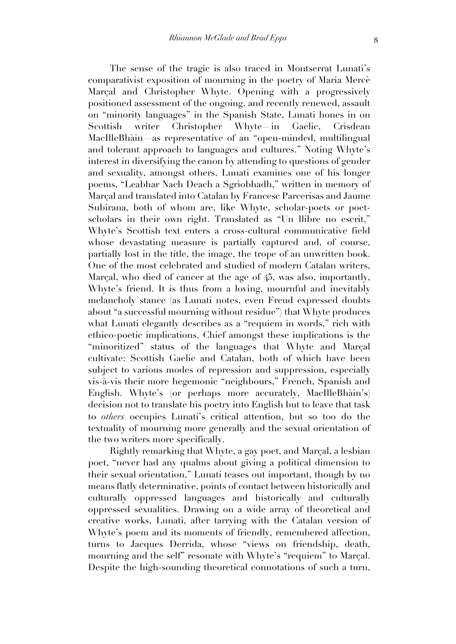The sense of the tragic is also traced in Montserrat Lunati's comparativist exposition of mourning in the poetry of Maria Mercè Marçal and Christopher Whyte. Opening with a progressively positioned assessment of the ongoing, and recently renewed, assault on "minority languages" in the Spanish State, Lunati hones in on Scottish writer Christopher Whyte—in Gaelic, Crìsdean MacIlleBhàin—as representative of an "open-minded, multilingual and tolerant approach to languages and cultures." Noting Whyte's interest in diversifying the canon by attending to questions of gender and sexuality, amongst others, Lunati examines one of his longer poems, "Leabhar Nach Deach a Sgrìobhadh," written in memory of Marçal and translated into Catalan by Francesc Parcerisas and Jaume Subirana, both of whom are, like Whyte, scholar-poets or poetscholars in their own right. Translated as "Un llibre no escrit," Whyte's Scottish text enters a cross-cultural communicative field whose devastating measure is partially captured and, of course, partially lost in the title, the image, the trope of an unwritten book. One of the most celebrated and studied of modern Catalan writers, Marçal, who died of cancer at the age of 45, was also, importantly, Whyte's friend. It is thus from a loving, mournful and inevitably melancholy stance (as Lunati notes, even Freud expressed doubts about "a successful mourning without residue") that Whyte produces what Lunati elegantly describes as a "requiem in words," rich with ethico-poetic implications. Chief amongst these implications is the "minoritized" status of the languages that Whyte and Marçal cultivate: Scottish Gaelic and Catalan, both of which have been subject to various modes of repression and suppression, especially vis-à-vis their more hegemonic "neighbours," French, Spanish and English. Whyte's (or perhaps more accurately, MacIlleBhàin's) decision not to translate his poetry into English but to leave that task to *others* occupies Lunati's critical attention, but so too do the textuality of mourning more generally and the sexual orientation of the two writers more specifically.

Rightly remarking that Whyte, a gay poet, and Marçal, a lesbian poet, "never had any qualms about giving a political dimension to their sexual orientation," Lunati teases out important, though by no means flatly determinative, points of contact between historically and culturally oppressed languages and historically and culturally oppressed sexualities. Drawing on a wide array of theoretical and creative works, Lunati, after tarrying with the Catalan version of Whyte's poem and its moments of friendly, remembered affection, turns to Jacques Derrida, whose "views on friendship, death, mourning and the self" resonate with Whyte's "requiem" to Marçal. Despite the high-sounding theoretical connotations of such a turn,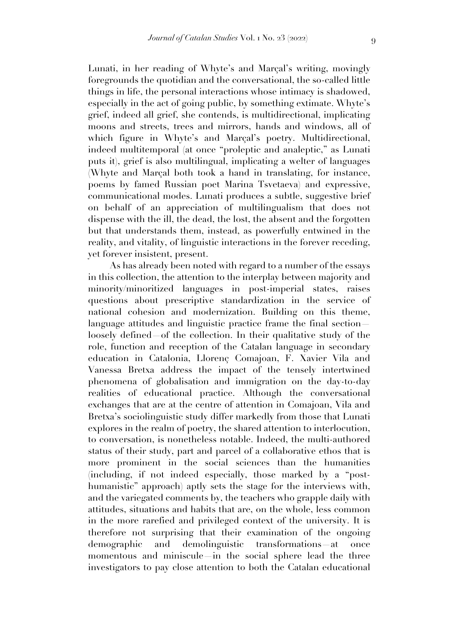Lunati, in her reading of Whyte's and Marçal's writing, movingly foregrounds the quotidian and the conversational, the so-called little things in life, the personal interactions whose intimacy is shadowed, especially in the act of going public, by something extimate. Whyte's grief, indeed all grief, she contends, is multidirectional, implicating moons and streets, trees and mirrors, hands and windows, all of which figure in Whyte's and Marcal's poetry. Multidirectional, indeed multitemporal (at once "proleptic and analeptic," as Lunati puts it), grief is also multilingual, implicating a welter of languages (Whyte and Marçal both took a hand in translating, for instance, poems by famed Russian poet Marina Tsvetaeva) and expressive, communicational modes. Lunati produces a subtle, suggestive brief on behalf of an appreciation of multilingualism that does not dispense with the ill, the dead, the lost, the absent and the forgotten but that understands them, instead, as powerfully entwined in the reality, and vitality, of linguistic interactions in the forever receding, yet forever insistent, present.

As has already been noted with regard to a number of the essays in this collection, the attention to the interplay between majority and minority/minoritized languages in post-imperial states, raises questions about prescriptive standardization in the service of national cohesion and modernization. Building on this theme, language attitudes and linguistic practice frame the final section loosely defined of the collection. In their qualitative study of the role, function and reception of the Catalan language in secondary education in Catalonia, Llorenç Comajoan, F. Xavier Vila and Vanessa Bretxa address the impact of the tensely intertwined phenomena of globalisation and immigration on the day-to-day realities of educational practice. Although the conversational exchanges that are at the centre of attention in Comajoan, Vila and Bretxa's sociolinguistic study differ markedly from those that Lunati explores in the realm of poetry, the shared attention to interlocution, to conversation, is nonetheless notable. Indeed, the multi-authored status of their study, part and parcel of a collaborative ethos that is more prominent in the social sciences than the humanities (including, if not indeed especially, those marked by a "posthumanistic" approach) aptly sets the stage for the interviews with, and the variegated comments by, the teachers who grapple daily with attitudes, situations and habits that are, on the whole, less common in the more rarefied and privileged context of the university. It is therefore not surprising that their examination of the ongoing demographic and demolinguistic transformations at once momentous and miniscule—in the social sphere lead the three investigators to pay close attention to both the Catalan educational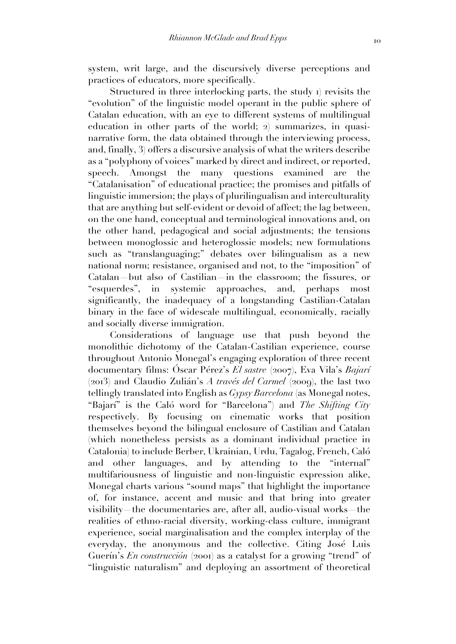system, writ large, and the discursively diverse perceptions and practices of educators, more specifically.

Structured in three interlocking parts, the study 1) revisits the "evolution" of the linguistic model operant in the public sphere of Catalan education, with an eye to different systems of multilingual education in other parts of the world; 2) summarizes, in quasinarrative form, the data obtained through the interviewing process, and, finally, 3) offers a discursive analysis of what the writers describe as a "polyphony of voices" marked by direct and indirect, or reported, speech. Amongst the many questions examined are the "Catalanisation" of educational practice; the promises and pitfalls of linguistic immersion; the plays of plurilingualism and interculturality that are anything but self-evident or devoid of affect; the lag between, on the one hand, conceptual and terminological innovations and, on the other hand, pedagogical and social adjustments; the tensions between monoglossic and heteroglossic models; new formulations such as "translanguaging;" debates over bilingualism as a new national norm; resistance, organised and not, to the "imposition" of Catalan—but also of Castilian—in the classroom; the fissures, or "esquerdes", in systemic approaches, and, perhaps most significantly, the inadequacy of a longstanding Castilian-Catalan binary in the face of widescale multilingual, economically, racially and socially diverse immigration.

Considerations of language use that push beyond the monolithic dichotomy of the Catalan-Castilian experience, course throughout Antonio Monegal's engaging exploration of three recent documentary films: Óscar Pérez's *El sastre* (2007), Eva Vila's *Bajarí* (2013) and Claudio Zulián's *A través del Carmel* (2009), the last two tellingly translated into English as *Gypsy Barcelona* (as Monegal notes, "Bajarí" is the Caló word for "Barcelona") and *The Shifting City* respectively. By focusing on cinematic works that position themselves beyond the bilingual enclosure of Castilian and Catalan (which nonetheless persists as a dominant individual practice in Catalonia) to include Berber, Ukrainian, Urdu, Tagalog, French, Caló and other languages, and by attending to the "internal" multifariousness of linguistic and non-linguistic expression alike, Monegal charts various "sound maps" that highlight the importance of, for instance, accent and music and that bring into greater visibility—the documentaries are, after all, audio-visual works—the realities of ethno-racial diversity, working-class culture, immigrant experience, social marginalisation and the complex interplay of the everyday, the anonymous and the collective. Citing José Luis Guerín's *En construcción* (2001) as a catalyst for a growing "trend" of "linguistic naturalism" and deploying an assortment of theoretical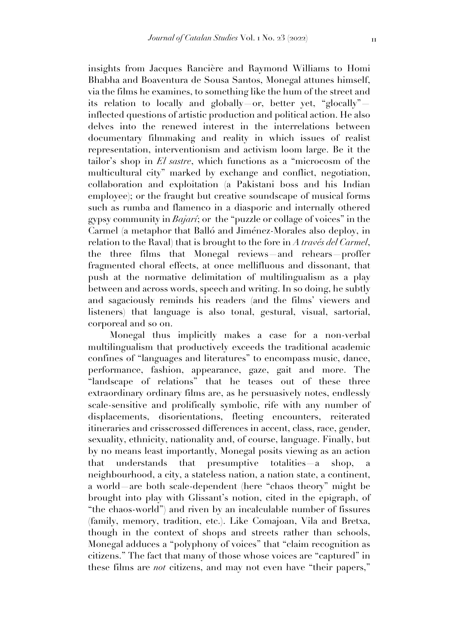insights from Jacques Rancière and Raymond Williams to Homi Bhabha and Boaventura de Sousa Santos, Monegal attunes himself, via the films he examines, to something like the hum of the street and

its relation to locally and globally or, better yet, "glocally" inflected questions of artistic production and political action. He also delves into the renewed interest in the interrelations between documentary filmmaking and reality in which issues of realist representation, interventionism and activism loom large. Be it the tailor's shop in *El sastre*, which functions as a "microcosm of the multicultural city" marked by exchange and conflict, negotiation, collaboration and exploitation (a Pakistani boss and his Indian employee); or the fraught but creative soundscape of musical forms such as rumba and flamenco in a diasporic and internally othered gypsy community in *Bajarí*; or the "puzzle or collage of voices" in the Carmel (a metaphor that Balló and Jiménez-Morales also deploy, in relation to the Raval) that is brought to the fore in *A través del Carmel*, the three films that Monegal reviews—and rehears—proffer fragmented choral effects, at once mellifluous and dissonant, that push at the normative delimitation of multilingualism as a play between and across words, speech and writing. In so doing, he subtly and sagaciously reminds his readers (and the films' viewers and listeners) that language is also tonal, gestural, visual, sartorial, corporeal and so on.

Monegal thus implicitly makes a case for a non-verbal multilingualism that productively exceeds the traditional academic confines of "languages and literatures" to encompass music, dance, performance, fashion, appearance, gaze, gait and more. The "landscape of relations" that he teases out of these three extraordinary ordinary films are, as he persuasively notes, endlessly scale-sensitive and prolifically symbolic, rife with any number of displacements, disorientations, fleeting encounters, reiterated itineraries and crisscrossed differences in accent, class, race, gender, sexuality, ethnicity, nationality and, of course, language. Finally, but by no means least importantly, Monegal posits viewing as an action that understands that presumptive totalities—a shop, a neighbourhood, a city, a stateless nation, a nation state, a continent, a world—are both scale-dependent (here "chaos theory" might be brought into play with Glissant's notion, cited in the epigraph, of "the chaos-world") and riven by an incalculable number of fissures (family, memory, tradition, etc.). Like Comajoan, Vila and Bretxa, though in the context of shops and streets rather than schools, Monegal adduces a "polyphony of voices" that "claim recognition as citizens." The fact that many of those whose voices are "captured" in these films are *not* citizens, and may not even have "their papers,"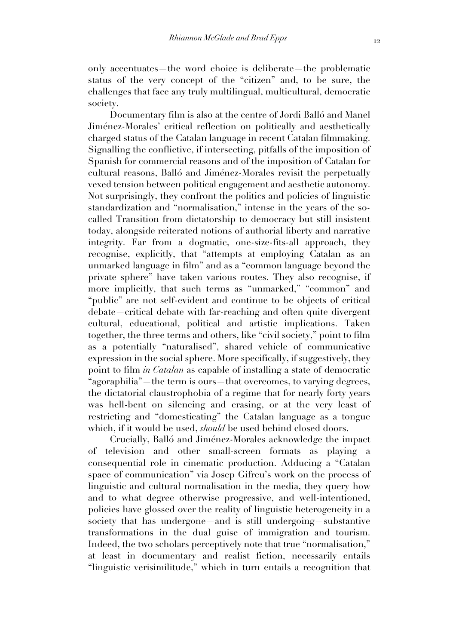only accentuates—the word choice is deliberate—the problematic status of the very concept of the "citizen" and, to be sure, the challenges that face any truly multilingual, multicultural, democratic society.

Documentary film is also at the centre of Jordi Balló and Manel Jiménez-Morales' critical reflection on politically and aesthetically charged status of the Catalan language in recent Catalan filmmaking. Signalling the conflictive, if intersecting, pitfalls of the imposition of Spanish for commercial reasons and of the imposition of Catalan for cultural reasons, Balló and Jiménez-Morales revisit the perpetually vexed tension between political engagement and aesthetic autonomy. Not surprisingly, they confront the politics and policies of linguistic standardization and "normalisation," intense in the years of the socalled Transition from dictatorship to democracy but still insistent today, alongside reiterated notions of authorial liberty and narrative integrity. Far from a dogmatic, one-size-fits-all approach, they recognise, explicitly, that "attempts at employing Catalan as an unmarked language in film" and as a "common language beyond the private sphere" have taken various routes. They also recognise, if more implicitly, that such terms as "unmarked," "common" and "public" are not self-evident and continue to be objects of critical debate—critical debate with far-reaching and often quite divergent cultural, educational, political and artistic implications. Taken together, the three terms and others, like "civil society," point to film as a potentially "naturalised", shared vehicle of communicative expression in the social sphere. More specifically, if suggestively, they point to film *in Catalan* as capable of installing a state of democratic "agoraphilia" —the term is ours—that overcomes, to varying degrees, the dictatorial claustrophobia of a regime that for nearly forty years was hell-bent on silencing and erasing, or at the very least of restricting and "domesticating" the Catalan language as a tongue which, if it would be used, *should* be used behind closed doors.

Crucially, Balló and Jiménez-Morales acknowledge the impact of television and other small-screen formats as playing a consequential role in cinematic production. Adducing a "Catalan space of communication" via Josep Gifreu's work on the process of linguistic and cultural normalisation in the media, they query how and to what degree otherwise progressive, and well-intentioned, policies have glossed over the reality of linguistic heterogeneity in a society that has undergone—and is still undergoing—substantive transformations in the dual guise of immigration and tourism. Indeed, the two scholars perceptively note that true "normalisation," at least in documentary and realist fiction, necessarily entails "linguistic verisimilitude," which in turn entails a recognition that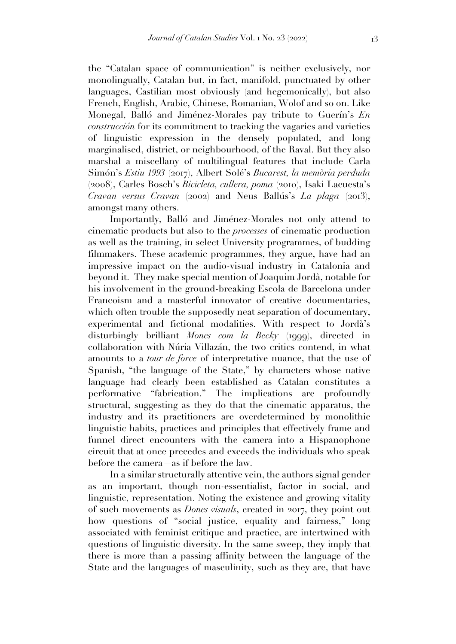the "Catalan space of communication" is neither exclusively, nor monolingually, Catalan but, in fact, manifold, punctuated by other languages, Castilian most obviously (and hegemonically), but also French, English, Arabic, Chinese, Romanian, Wolof and so on. Like Monegal, Balló and Jiménez-Morales pay tribute to Guerín's *En construcción* for its commitment to tracking the vagaries and varieties of linguistic expression in the densely populated, and long marginalised, district, or neighbourhood, of the Raval. But they also marshal a miscellany of multilingual features that include Carla Simón's *Estiu 1993* (2017), Albert Solé's *Bucarest, la memòria perduda* (2008), Carles Bosch's *Bicicleta, cullera, poma* (2010), Isaki Lacuesta's *Cravan versus Cravan* (2002) and Neus Ballús's *La plaga* (2013), amongst many others.

Importantly, Balló and Jiménez-Morales not only attend to cinematic products but also to the *processes* of cinematic production as well as the training, in select University programmes, of budding filmmakers. These academic programmes, they argue, have had an impressive impact on the audio-visual industry in Catalonia and beyond it. They make special mention of Joaquim Jordà, notable for his involvement in the ground-breaking Escola de Barcelona under Francoism and a masterful innovator of creative documentaries, which often trouble the supposedly neat separation of documentary, experimental and fictional modalities. With respect to Jordà's disturbingly brilliant *Mones com la Becky* (1999), directed in collaboration with Núria Villazán, the two critics contend, in what amounts to a *tour de force* of interpretative nuance, that the use of Spanish, "the language of the State," by characters whose native language had clearly been established as Catalan constitutes a performative "fabrication." The implications are profoundly structural, suggesting as they do that the cinematic apparatus, the industry and its practitioners are overdetermined by monolithic linguistic habits, practices and principles that effectively frame and funnel direct encounters with the camera into a Hispanophone circuit that at once precedes and exceeds the individuals who speak before the camera—as if before the law.

In a similar structurally attentive vein, the authors signal gender as an important, though non-essentialist, factor in social, and linguistic, representation. Noting the existence and growing vitality of such movements as *Dones visuals*, created in 2017, they point out how questions of "social justice, equality and fairness," long associated with feminist critique and practice, are intertwined with questions of linguistic diversity. In the same sweep, they imply that there is more than a passing affinity between the language of the State and the languages of masculinity, such as they are, that have